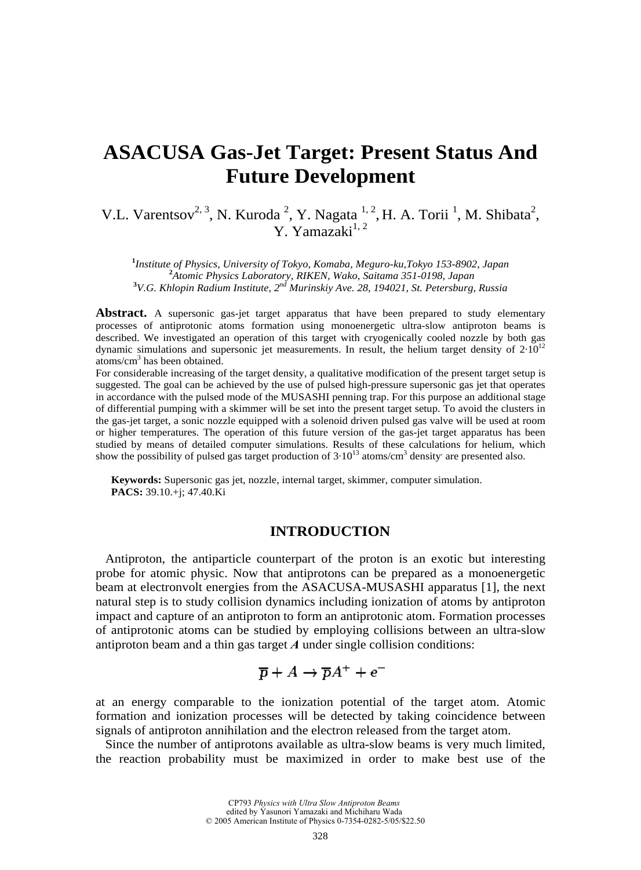# **ASACUSA Gas-Jet Target: Present Status And Future Development**

V.L. Varentsov<sup>2, 3</sup>, N. Kuroda<sup>2</sup>, Y. Nagata<sup>1, 2</sup>, H. A. Torii<sup>1</sup>, M. Shibata<sup>2</sup>, Y. Yamazaki<sup>1,2</sup>

<sup>1</sup><br> **1***Institute of Physics, University of Tokyo, Komaba, Meguro-ku,Tokyo 153-8902, Japan* <sup>2</sup><br>
<sup>2</sup><sup>4</sup> *Atomia Physics Laboratory, BIKEN, Wake Saitawa 251,0108, Japan Atomic Physics Laboratory, RIKEN, Wako, Saitama 351-0198, Japan* **<sup>3</sup>** *V.G. Khlopin Radium Institute, 2nd Murinskiy Ave. 28, 194021, St. Petersburg, Russia* 

Abstract. A supersonic gas-jet target apparatus that have been prepared to study elementary processes of antiprotonic atoms formation using monoenergetic ultra-slow antiproton beams is described. We investigated an operation of this target with cryogenically cooled nozzle by both gas dynamic simulations and supersonic jet measurements. In result, the helium target density of  $2.10^{12}$ atoms/cm3 has been obtained.

For considerable increasing of the target density, a qualitative modification of the present target setup is suggested. The goal can be achieved by the use of pulsed high-pressure supersonic gas jet that operates in accordance with the pulsed mode of the MUSASHI penning trap. For this purpose an additional stage of differential pumping with a skimmer will be set into the present target setup. To avoid the clusters in the gas-jet target, a sonic nozzle equipped with a solenoid driven pulsed gas valve will be used at room or higher temperatures. The operation of this future version of the gas-jet target apparatus has been studied by means of detailed computer simulations. Results of these calculations for helium, which show the possibility of pulsed gas target production of  $3 \cdot 10^{13}$  atoms/cm<sup>3</sup> density are presented also.

**Keywords:** Supersonic gas jet, nozzle, internal target, skimmer, computer simulation. **PACS:** 39.10.+j; 47.40.Ki

## **INTRODUCTION**

Antiproton, the antiparticle counterpart of the proton is an exotic but interesting probe for atomic physic. Now that antiprotons can be prepared as a monoenergetic beam at electronvolt energies from the ASACUSA-MUSASHI apparatus [1], the next natural step is to study collision dynamics including ionization of atoms by antiproton impact and capture of an antiproton to form an antiprotonic atom. Formation processes of antiprotonic atoms can be studied by employing collisions between an ultra-slow antiproton beam and a thin gas target *A* under single collision conditions:

$$
\overline{p} + A \rightarrow \overline{p}A^+ + e^-
$$

at an energy comparable to the ionization potential of the target atom. Atomic formation and ionization processes will be detected by taking coincidence between signals of antiproton annihilation and the electron released from the target atom.

Since the number of antiprotons available as ultra-slow beams is very much limited, the reaction probability must be maximized in order to make best use of the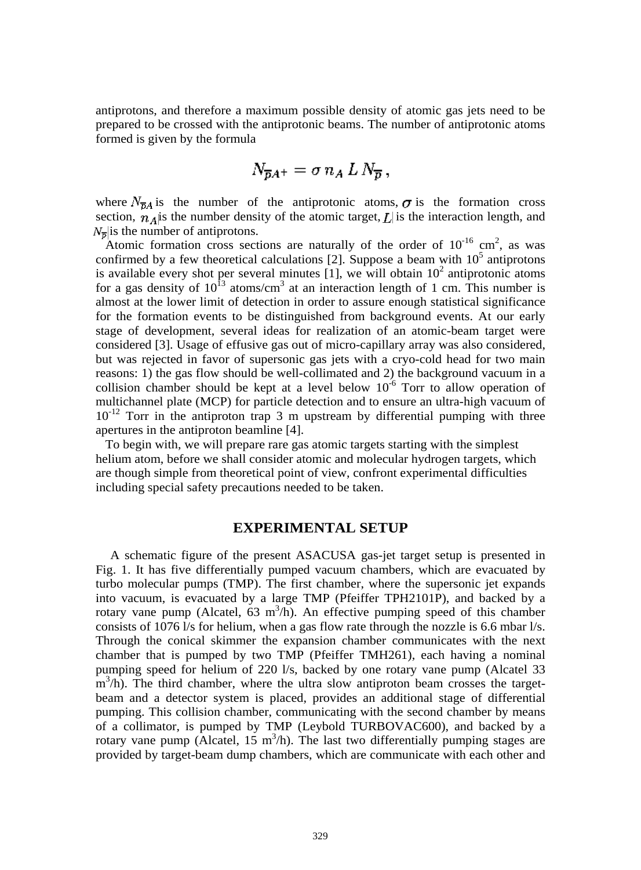antiprotons, and therefore a maximum possible density of atomic gas jets need to be prepared to be crossed with the antiprotonic beams. The number of antiprotonic atoms formed is given by the formula

$$
N_{\overline{p}A^+} = \sigma n_A L N_{\overline{p}},
$$

where  $N_{\overline{B}A}$  is the number of the antiprotonic atoms,  $\sigma$  is the formation cross section,  $n_A$  is the number density of the atomic target,  $L$  is the interaction length, and  $N_{\overline{n}}$  is the number of antiprotons.

Atomic formation cross sections are naturally of the order of  $10^{-16}$  cm<sup>2</sup>, as was confirmed by a few theoretical calculations [2]. Suppose a beam with  $10^5$  antiprotons is available every shot per several minutes  $\left[1\right]$ , we will obtain  $10^2$  antiprotonic atoms for a gas density of  $10^{13}$  atoms/cm<sup>3</sup> at an interaction length of 1 cm. This number is almost at the lower limit of detection in order to assure enough statistical significance for the formation events to be distinguished from background events. At our early stage of development, several ideas for realization of an atomic-beam target were considered [3]. Usage of effusive gas out of micro-capillary array was also considered, but was rejected in favor of supersonic gas jets with a cryo-cold head for two main reasons: 1) the gas flow should be well-collimated and 2) the background vacuum in a collision chamber should be kept at a level below  $10^{-6}$  Torr to allow operation of multichannel plate (MCP) for particle detection and to ensure an ultra-high vacuum of 10<sup>-12</sup> Torr in the antiproton trap 3 m upstream by differential pumping with three apertures in the antiproton beamline [4].

 To begin with, we will prepare rare gas atomic targets starting with the simplest helium atom, before we shall consider atomic and molecular hydrogen targets, which are though simple from theoretical point of view, confront experimental difficulties including special safety precautions needed to be taken.

## **EXPERIMENTAL SETUP**

A schematic figure of the present ASACUSA gas-jet target setup is presented in Fig. 1. It has five differentially pumped vacuum chambers, which are evacuated by turbo molecular pumps (TMP). The first chamber, where the supersonic jet expands into vacuum, is evacuated by a large TMP (Pfeiffer TPH2101P), and backed by a rotary vane pump (Alcatel,  $63 \text{ m}^3/\text{h}$ ). An effective pumping speed of this chamber consists of 1076 l/s for helium, when a gas flow rate through the nozzle is 6.6 mbar l/s. Through the conical skimmer the expansion chamber communicates with the next chamber that is pumped by two TMP (Pfeiffer TMH261), each having a nominal pumping speed for helium of 220 l/s, backed by one rotary vane pump (Alcatel 33  $\text{m}^3$ /h). The third chamber, where the ultra slow antiproton beam crosses the targetbeam and a detector system is placed, provides an additional stage of differential pumping. This collision chamber, communicating with the second chamber by means of a collimator, is pumped by TMP (Leybold TURBOVAC600), and backed by a rotary vane pump (Alcatel,  $15 \text{ m}^3/\text{h}$ ). The last two differentially pumping stages are provided by target-beam dump chambers, which are communicate with each other and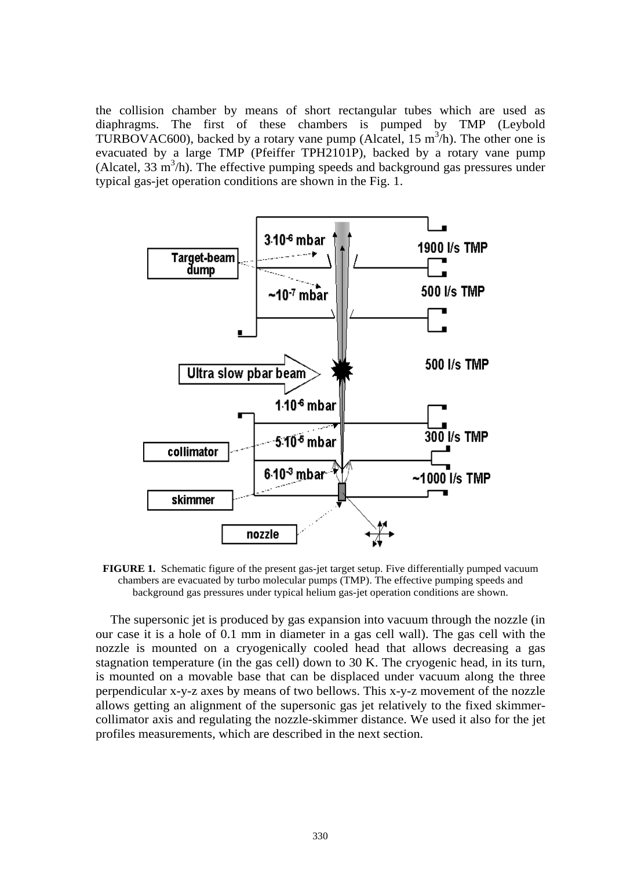the collision chamber by means of short rectangular tubes which are used as diaphragms. The first of these chambers is pumped by TMP (Leybold TURBOVAC600), backed by a rotary vane pump (Alcatel,  $15 \text{ m}^3/\text{h}$ ). The other one is evacuated by a large TMP (Pfeiffer TPH2101P), backed by a rotary vane pump (Alcatel,  $33 \text{ m}^3$ /h). The effective pumping speeds and background gas pressures under typical gas-jet operation conditions are shown in the Fig. 1.



**FIGURE 1.** Schematic figure of the present gas-jet target setup. Five differentially pumped vacuum chambers are evacuated by turbo molecular pumps (TMP). The effective pumping speeds and background gas pressures under typical helium gas-jet operation conditions are shown.

The supersonic jet is produced by gas expansion into vacuum through the nozzle (in our case it is a hole of 0.1 mm in diameter in a gas cell wall). The gas cell with the nozzle is mounted on a cryogenically cooled head that allows decreasing a gas stagnation temperature (in the gas cell) down to 30 K. The cryogenic head, in its turn, is mounted on a movable base that can be displaced under vacuum along the three perpendicular x-y-z axes by means of two bellows. This x-y-z movement of the nozzle allows getting an alignment of the supersonic gas jet relatively to the fixed skimmercollimator axis and regulating the nozzle-skimmer distance. We used it also for the jet profiles measurements, which are described in the next section.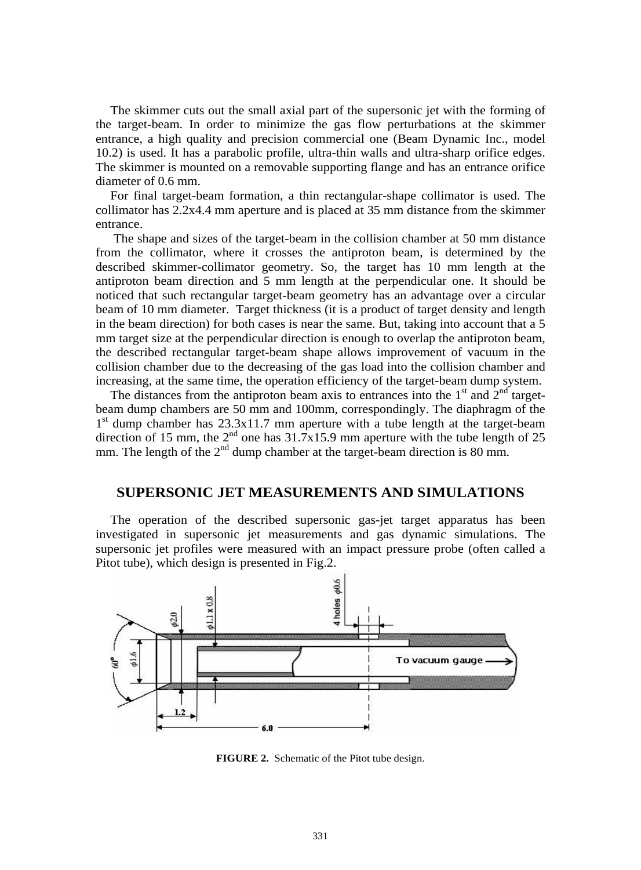The skimmer cuts out the small axial part of the supersonic jet with the forming of the target-beam. In order to minimize the gas flow perturbations at the skimmer entrance, a high quality and precision commercial one (Beam Dynamic Inc., model 10.2) is used. It has a parabolic profile, ultra-thin walls and ultra-sharp orifice edges. The skimmer is mounted on a removable supporting flange and has an entrance orifice diameter of 0.6 mm.

For final target-beam formation, a thin rectangular-shape collimator is used. The collimator has 2.2x4.4 mm aperture and is placed at 35 mm distance from the skimmer entrance.

The shape and sizes of the target-beam in the collision chamber at 50 mm distance from the collimator, where it crosses the antiproton beam, is determined by the described skimmer-collimator geometry. So, the target has 10 mm length at the antiproton beam direction and 5 mm length at the perpendicular one. It should be noticed that such rectangular target-beam geometry has an advantage over a circular beam of 10 mm diameter. Target thickness (it is a product of target density and length in the beam direction) for both cases is near the same. But, taking into account that a 5 mm target size at the perpendicular direction is enough to overlap the antiproton beam, the described rectangular target-beam shape allows improvement of vacuum in the collision chamber due to the decreasing of the gas load into the collision chamber and increasing, at the same time, the operation efficiency of the target-beam dump system.

The distances from the antiproton beam axis to entrances into the  $1<sup>st</sup>$  and  $2<sup>nd</sup>$  targetbeam dump chambers are 50 mm and 100mm, correspondingly. The diaphragm of the  $1<sup>st</sup>$  dump chamber has 23.3x11.7 mm aperture with a tube length at the target-beam direction of 15 mm, the  $2^{nd}$  one has  $31.7x15.9$  mm aperture with the tube length of 25 mm. The length of the  $2<sup>nd</sup>$  dump chamber at the target-beam direction is 80 mm.

## **SUPERSONIC JET MEASUREMENTS AND SIMULATIONS**

The operation of the described supersonic gas-jet target apparatus has been investigated in supersonic jet measurements and gas dynamic simulations. The supersonic jet profiles were measured with an impact pressure probe (often called a Pitot tube), which design is presented in Fig.2.



**FIGURE 2.** Schematic of the Pitot tube design.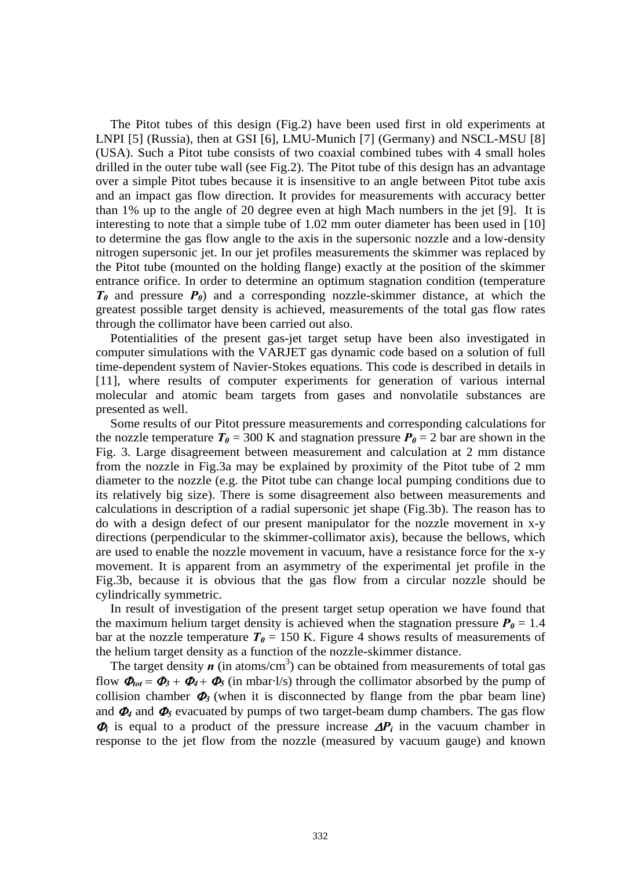The Pitot tubes of this design (Fig.2) have been used first in old experiments at LNPI [5] (Russia), then at GSI [6], LMU-Munich [7] (Germany) and NSCL-MSU [8] (USA). Such a Pitot tube consists of two coaxial combined tubes with 4 small holes drilled in the outer tube wall (see Fig.2). The Pitot tube of this design has an advantage over a simple Pitot tubes because it is insensitive to an angle between Pitot tube axis and an impact gas flow direction. It provides for measurements with accuracy better than 1% up to the angle of 20 degree even at high Mach numbers in the jet [9]. It is interesting to note that a simple tube of 1.02 mm outer diameter has been used in [10] to determine the gas flow angle to the axis in the supersonic nozzle and a low-density nitrogen supersonic jet. In our jet profiles measurements the skimmer was replaced by the Pitot tube (mounted on the holding flange) exactly at the position of the skimmer entrance orifice. In order to determine an optimum stagnation condition (temperature *T0* and pressure *P0*) and a corresponding nozzle-skimmer distance, at which the greatest possible target density is achieved, measurements of the total gas flow rates through the collimator have been carried out also.

Potentialities of the present gas-jet target setup have been also investigated in computer simulations with the VARJET gas dynamic code based on a solution of full time-dependent system of Navier-Stokes equations. This code is described in details in [11], where results of computer experiments for generation of various internal molecular and atomic beam targets from gases and nonvolatile substances are presented as well.

Some results of our Pitot pressure measurements and corresponding calculations for the nozzle temperature  $T_{0}$  = 300 K and stagnation pressure  $P_{0}$  = 2 bar are shown in the Fig. 3. Large disagreement between measurement and calculation at 2 mm distance from the nozzle in Fig.3a may be explained by proximity of the Pitot tube of 2 mm diameter to the nozzle (e.g. the Pitot tube can change local pumping conditions due to its relatively big size). There is some disagreement also between measurements and calculations in description of a radial supersonic jet shape (Fig.3b). The reason has to do with a design defect of our present manipulator for the nozzle movement in x-y directions (perpendicular to the skimmer-collimator axis), because the bellows, which are used to enable the nozzle movement in vacuum, have a resistance force for the x-y movement. It is apparent from an asymmetry of the experimental jet profile in the Fig.3b, because it is obvious that the gas flow from a circular nozzle should be cylindrically symmetric.

In result of investigation of the present target setup operation we have found that the maximum helium target density is achieved when the stagnation pressure  $P_0 = 1.4$ bar at the nozzle temperature  $T_{0} = 150$  K. Figure 4 shows results of measurements of the helium target density as a function of the nozzle-skimmer distance.

The target density  $\boldsymbol{n}$  (in atoms/cm<sup>3</sup>) can be obtained from measurements of total gas flow  $\Phi_{tot} = \Phi_3 + \Phi_4 + \Phi_5$  (in mbar·l/s) through the collimator absorbed by the pump of collision chamber  $\Phi_3$  (when it is disconnected by flange from the pbar beam line) and  $\Phi_4$  and  $\Phi_5$  evacuated by pumps of two target-beam dump chambers. The gas flow  $\Phi_i$  is equal to a product of the pressure increase  $\Delta P_i$  in the vacuum chamber in response to the jet flow from the nozzle (measured by vacuum gauge) and known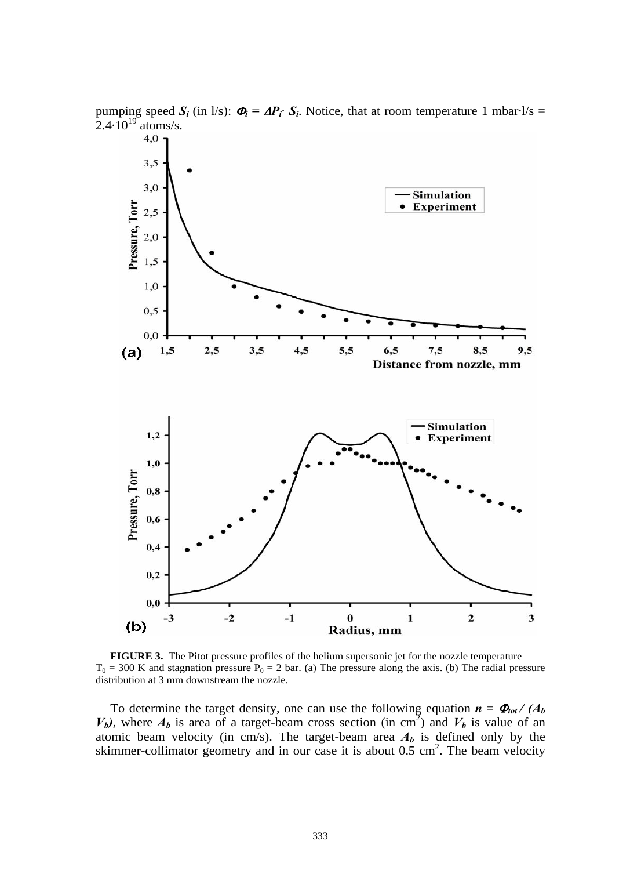

pumping speed  $S_i$  (in l/s):  $\Phi_i = \Delta P_i \cdot S_i$ . Notice, that at room temperature 1 mbar·l/s = 2.4.10<sup>19</sup> atoms/s.<br>4.0 **1** 

**FIGURE 3.** The Pitot pressure profiles of the helium supersonic jet for the nozzle temperature  $T_0 = 300$  K and stagnation pressure  $P_0 = 2$  bar. (a) The pressure along the axis. (b) The radial pressure distribution at 3 mm downstream the nozzle.

To determine the target density, one can use the following equation  $\mathbf{n} = \mathbf{\Phi}_{tot} / (A_b)$  $V_b$ ), where  $A_b$  is area of a target-beam cross section (in cm<sup>2</sup>) and  $V_b$  is value of an atomic beam velocity (in cm/s). The target-beam area  $A<sub>b</sub>$  is defined only by the skimmer-collimator geometry and in our case it is about  $0.5 \text{ cm}^2$ . The beam velocity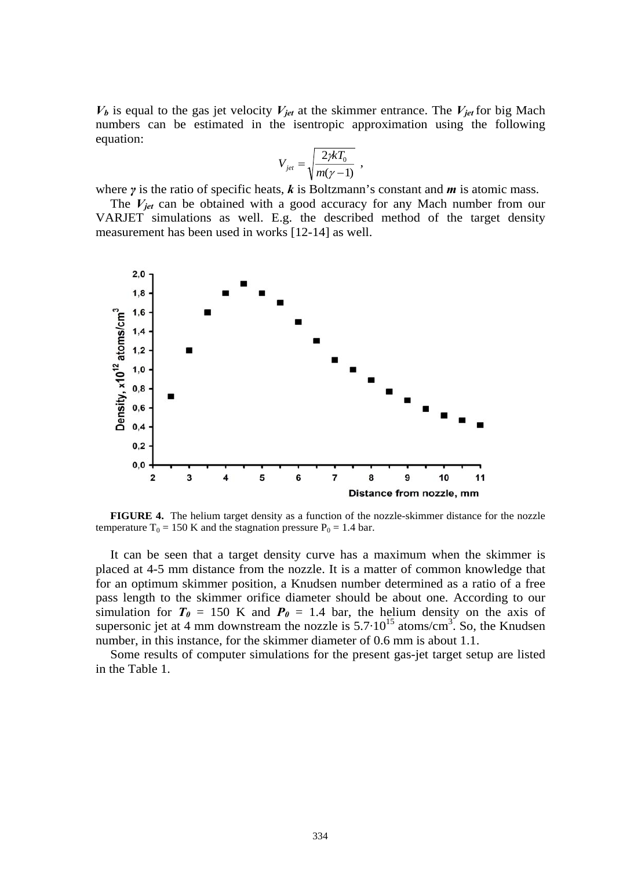$V_b$  is equal to the gas jet velocity  $V_{jet}$  at the skimmer entrance. The  $V_{jet}$  for big Mach numbers can be estimated in the isentropic approximation using the following equation:

$$
V_{jet} = \sqrt{\frac{2\cancel{r}kT_0}{m(\gamma - 1)}} \enspace ,
$$

where *γ* is the ratio of specific heats, *k* is Boltzmann's constant and *m* is atomic mass.

The  $V_{jet}$  can be obtained with a good accuracy for any Mach number from our VARJET simulations as well. E.g. the described method of the target density measurement has been used in works [12-14] as well.



**FIGURE 4.** The helium target density as a function of the nozzle-skimmer distance for the nozzle temperature  $T_0 = 150$  K and the stagnation pressure  $P_0 = 1.4$  bar.

It can be seen that a target density curve has a maximum when the skimmer is placed at 4-5 mm distance from the nozzle. It is a matter of common knowledge that for an optimum skimmer position, a Knudsen number determined as a ratio of a free pass length to the skimmer orifice diameter should be about one. According to our simulation for  $T_{\theta} = 150$  K and  $P_{\theta} = 1.4$  bar, the helium density on the axis of supersonic jet at 4 mm downstream the nozzle is  $5.7 \cdot 10^{15}$  atoms/cm<sup>3</sup>. So, the Knudsen number, in this instance, for the skimmer diameter of 0.6 mm is about 1.1.

Some results of computer simulations for the present gas-jet target setup are listed in the Table 1.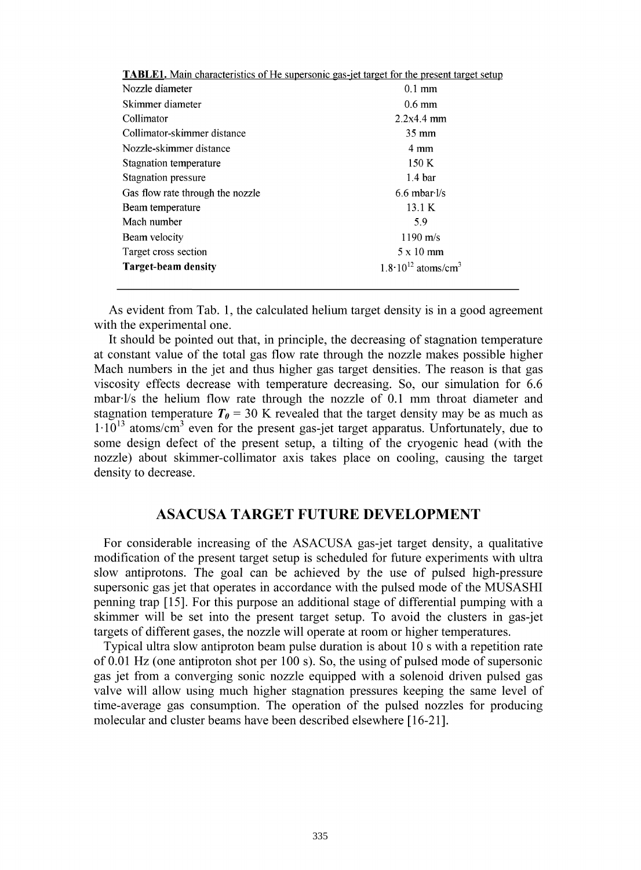| <b>TABLE1.</b> Main characteristics of He supersonic gas-jet target for the present target setup |  |  |
|--------------------------------------------------------------------------------------------------|--|--|
| $0.1$ mm                                                                                         |  |  |
| $0.6 \text{ mm}$                                                                                 |  |  |
| 2.2x4.4mm                                                                                        |  |  |
| $35 \text{ mm}$                                                                                  |  |  |
| 4 mm                                                                                             |  |  |
| 150K                                                                                             |  |  |
| 1.4 <sub>bar</sub>                                                                               |  |  |
| $6.6$ mbar $\frac{1}{s}$                                                                         |  |  |
| 13.1 K                                                                                           |  |  |
| 5.9                                                                                              |  |  |
| $1190 \text{ m/s}$                                                                               |  |  |
| $5 \times 10$ mm                                                                                 |  |  |
| $1.8 \cdot 10^{12}$ atoms/cm <sup>3</sup>                                                        |  |  |
|                                                                                                  |  |  |

As evident from Tab. 1, the calculated helium target density is in a good agreement with the experimental one.

It should be pointed out that, in principle, the decreasing of stagnation temperature at constant value of the total gas flow rate through the nozzle makes possible higher Mach numbers in the jet and thus higher gas target densities. The reason is that gas viscosity effects decrease with temperature decreasing. So, our simulation for 6.6 mbarl/s the helium flow rate through the nozzle of 0.1 mm throat diameter and stagnation temperature  $T_{\theta}$  = 30 K revealed that the target density may be as much as  $1 \cdot 10^{13}$  atoms/cm<sup>3</sup> even for the present gas-jet target apparatus. Unfortunately, due to some design defect of the present setup, a tilting of the cryogenic head (with the nozzle) about skimmer-collimator axis takes place on cooling, causing the target density to decrease.

## **ASACUSA TARGET FUTURE DEVELOPMENT**

For considerable increasing of the ASACUSA gas-jet target density, a qualitative modification of the present target setup is scheduled for future experiments with ultra slow antiprotons. The goal can be achieved by the use of pulsed high-pressure supersonic gas jet that operates in accordance with the pulsed mode of the MUSASHI penning trap [15]. For this purpose an additional stage of differential pumping with a skimmer will be set into the present target setup. To avoid the clusters in gas-jet targets of different gases, the nozzle will operate at room or higher temperatures.

Typical ultra slow antiproton beam pulse duration is about 10s with a repetition rate of 0.01 Hz (one antiproton shot per 100 s). So, the using of pulsed mode of supersonic gas jet from a converging sonic nozzle equipped with a solenoid driven pulsed gas valve will allow using much higher stagnation pressures keeping the same level of time-average gas consumption. The operation of the pulsed nozzles for producing molecular and cluster beams have been described elsewhere [16-21].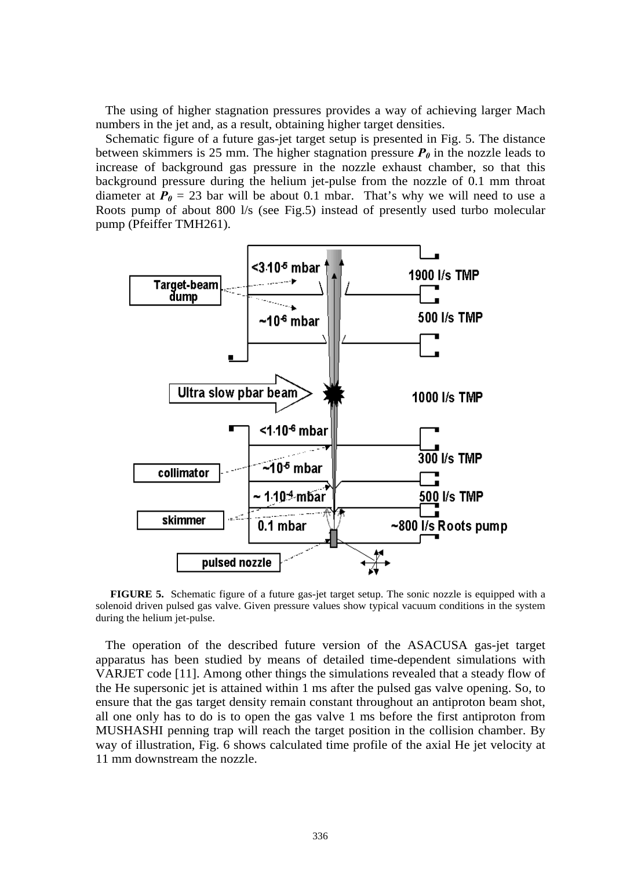The using of higher stagnation pressures provides a way of achieving larger Mach numbers in the jet and, as a result, obtaining higher target densities.

Schematic figure of a future gas-jet target setup is presented in Fig. 5. The distance between skimmers is 25 mm. The higher stagnation pressure  $P_{\theta}$  in the nozzle leads to increase of background gas pressure in the nozzle exhaust chamber, so that this background pressure during the helium jet-pulse from the nozzle of 0.1 mm throat diameter at  $P_0 = 23$  bar will be about 0.1 mbar. That's why we will need to use a Roots pump of about 800 l/s (see Fig.5) instead of presently used turbo molecular pump (Pfeiffer TMH261).



**FIGURE 5.** Schematic figure of a future gas-jet target setup. The sonic nozzle is equipped with a solenoid driven pulsed gas valve. Given pressure values show typical vacuum conditions in the system during the helium jet-pulse.

The operation of the described future version of the ASACUSA gas-jet target apparatus has been studied by means of detailed time-dependent simulations with VARJET code [11]. Among other things the simulations revealed that a steady flow of the He supersonic jet is attained within 1 ms after the pulsed gas valve opening. So, to ensure that the gas target density remain constant throughout an antiproton beam shot, all one only has to do is to open the gas valve 1 ms before the first antiproton from MUSHASHI penning trap will reach the target position in the collision chamber. By way of illustration, Fig. 6 shows calculated time profile of the axial He jet velocity at 11 mm downstream the nozzle.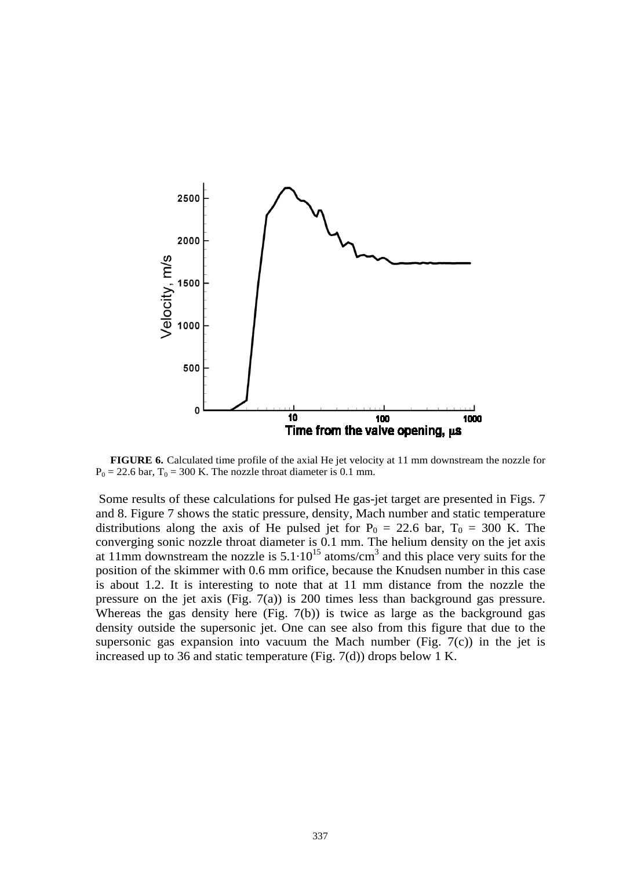

**FIGURE 6.** Calculated time profile of the axial He jet velocity at 11 mm downstream the nozzle for  $P_0 = 22.6$  bar,  $T_0 = 300$  K. The nozzle throat diameter is 0.1 mm.

Some results of these calculations for pulsed He gas-jet target are presented in Figs. 7 and 8. Figure 7 shows the static pressure, density, Mach number and static temperature distributions along the axis of He pulsed jet for  $P_0 = 22.6$  bar,  $T_0 = 300$  K. The converging sonic nozzle throat diameter is 0.1 mm. The helium density on the jet axis at 11mm downstream the nozzle is  $5.1 \cdot 10^{15}$  atoms/cm<sup>3</sup> and this place very suits for the position of the skimmer with 0.6 mm orifice, because the Knudsen number in this case is about 1.2. It is interesting to note that at 11 mm distance from the nozzle the pressure on the jet axis (Fig.  $7(a)$ ) is 200 times less than background gas pressure. Whereas the gas density here (Fig. 7(b)) is twice as large as the background gas density outside the supersonic jet. One can see also from this figure that due to the supersonic gas expansion into vacuum the Mach number (Fig.  $7(c)$ ) in the jet is increased up to 36 and static temperature (Fig. 7(d)) drops below 1 K.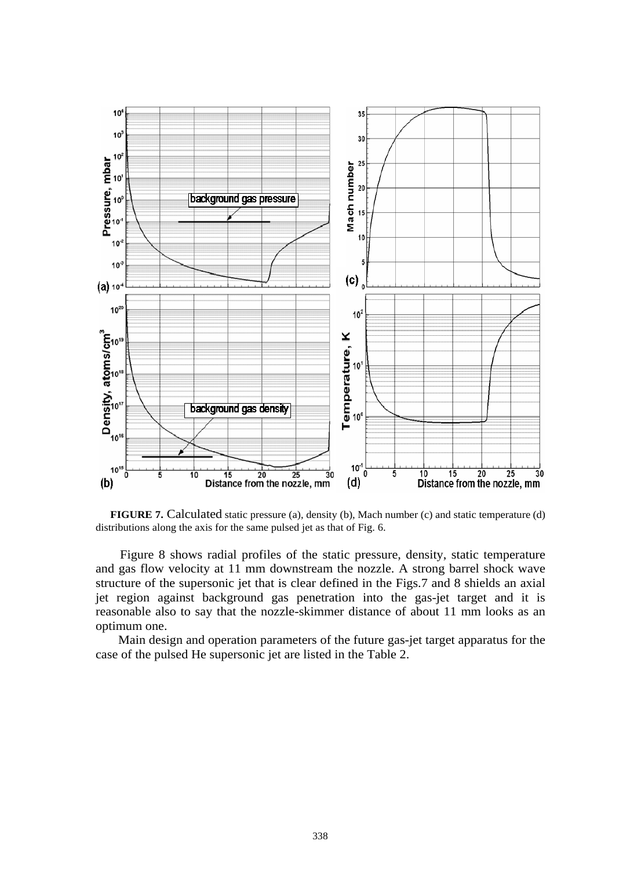

**FIGURE 7.** Calculated static pressure (a), density (b), Mach number (c) and static temperature (d) distributions along the axis for the same pulsed jet as that of Fig. 6.

Figure 8 shows radial profiles of the static pressure, density, static temperature and gas flow velocity at 11 mm downstream the nozzle. A strong barrel shock wave structure of the supersonic jet that is clear defined in the Figs.7 and 8 shields an axial jet region against background gas penetration into the gas-jet target and it is reasonable also to say that the nozzle-skimmer distance of about 11 mm looks as an optimum one.

 Main design and operation parameters of the future gas-jet target apparatus for the case of the pulsed He supersonic jet are listed in the Table 2.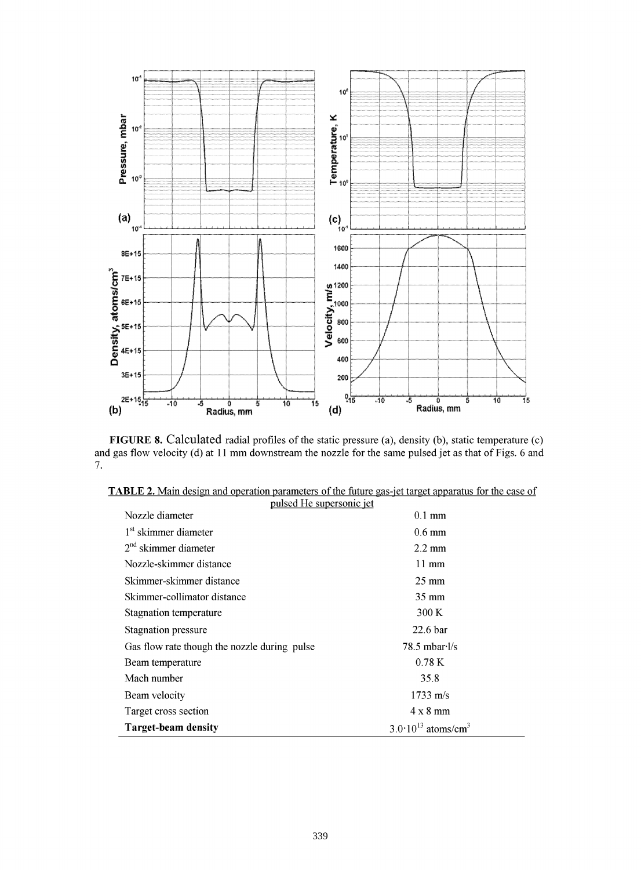

**FIGURE** 8. Calculated radial profiles of the static pressure (a), density (b), static temperature (c) and gas flow velocity (d) at 11 mm downstream the nozzle for the same pulsed jet as that of Figs. 6 and 7.

| pulsed He supersonic jet<br>Nozzle diameter  | $0.1 \text{ mm}$                          |
|----------------------------------------------|-------------------------------------------|
| 1 <sup>st</sup> skimmer diameter             | $0.6 \text{ mm}$                          |
| $2nd$ skimmer diameter                       | $2.2 \text{ mm}$                          |
| Nozzle-skimmer distance                      | $11 \text{ mm}$                           |
| Skimmer-skimmer distance                     | $25 \text{ mm}$                           |
| Skimmer-collimator distance                  | $35 \text{ mm}$                           |
| Stagnation temperature                       | 300 K                                     |
| Stagnation pressure                          | 22.6 <sub>bar</sub>                       |
| Gas flow rate though the nozzle during pulse | $78.5 \text{ mbar·l/s}$                   |
| Beam temperature                             | 0.78K                                     |
| Mach number                                  | 35.8                                      |
| Beam velocity                                | $1733 \text{ m/s}$                        |
| Target cross section                         | $4 \times 8$ mm                           |
| <b>Target-beam density</b>                   | $3.0 \cdot 10^{13}$ atoms/cm <sup>3</sup> |

| <b>TABLE 2.</b> Main design and operation parameters of the future gas-jet target apparatus for the case of |  |  |
|-------------------------------------------------------------------------------------------------------------|--|--|
|                                                                                                             |  |  |